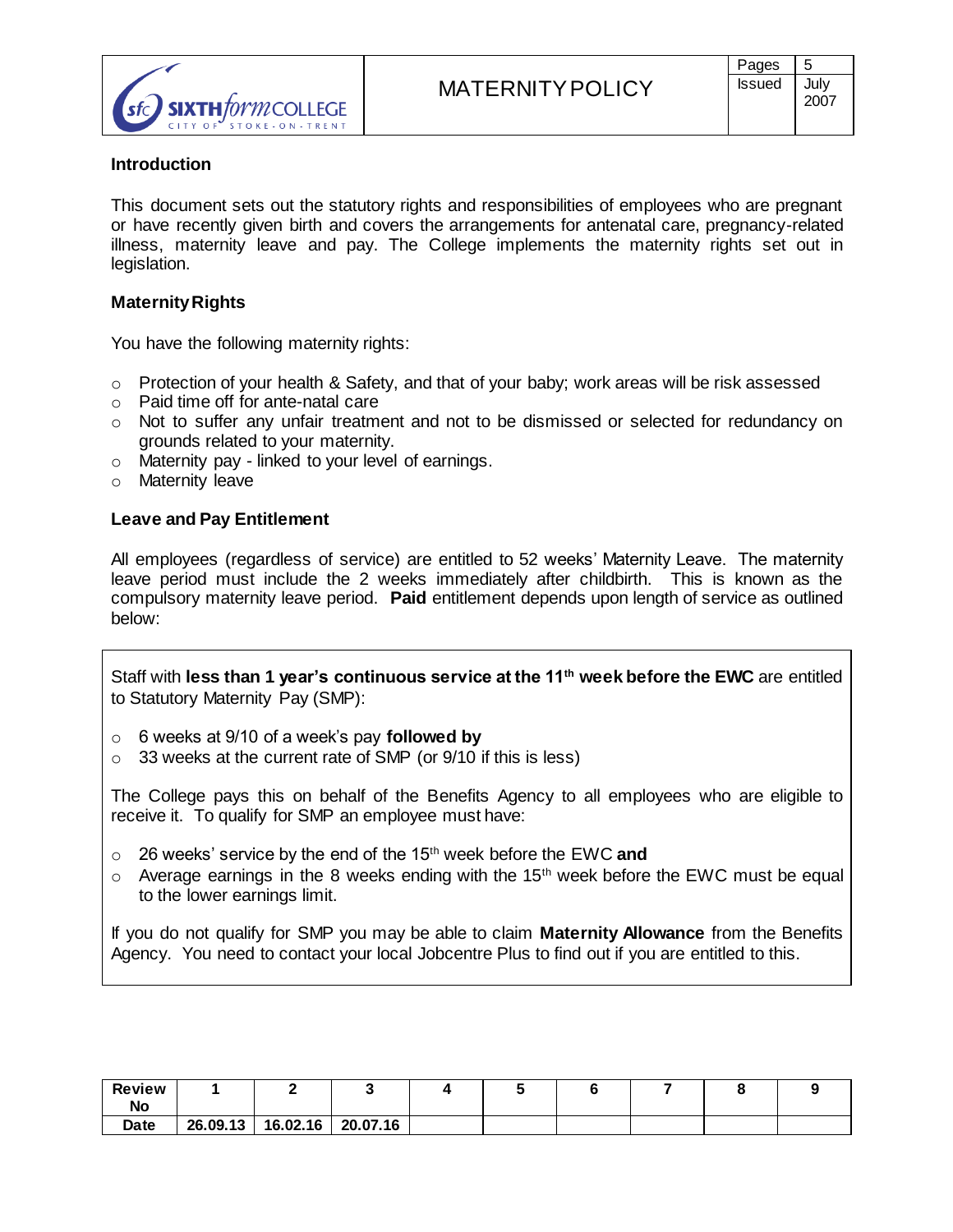

## **Introduction**

This document sets out the statutory rights and responsibilities of employees who are pregnant or have recently given birth and covers the arrangements for antenatal care, pregnancy-related illness, maternity leave and pay. The College implements the maternity rights set out in legislation.

# **Maternity Rights**

You have the following maternity rights:

- $\circ$  Protection of your health & Safety, and that of your baby; work areas will be risk assessed
- o Paid time off for ante-natal care
- o Not to suffer any unfair treatment and not to be dismissed or selected for redundancy on grounds related to your maternity.
- o Maternity pay linked to your level of earnings.
- o Maternity leave

### **Leave and Pay Entitlement**

All employees (regardless of service) are entitled to 52 weeks' Maternity Leave. The maternity leave period must include the 2 weeks immediately after childbirth. This is known as the compulsory maternity leave period. **Paid** entitlement depends upon length of service as outlined below:

Staff with **less than 1 year's continuous service at the 11th week before the EWC** are entitled to Statutory Maternity Pay (SMP):

- o 6 weeks at 9/10 of a week's pay **followed by**
- $\circ$  33 weeks at the current rate of SMP (or 9/10 if this is less)

The College pays this on behalf of the Benefits Agency to all employees who are eligible to receive it. To qualify for SMP an employee must have:

- o 26 weeks' service by the end of the 15th week before the EWC **and**
- $\circ$  Average earnings in the 8 weeks ending with the 15<sup>th</sup> week before the EWC must be equal to the lower earnings limit.

If you do not qualify for SMP you may be able to claim **Maternity Allowance** from the Benefits Agency. You need to contact your local Jobcentre Plus to find out if you are entitled to this.

| <b>Review</b><br>No |          |          |          |  |  |  |
|---------------------|----------|----------|----------|--|--|--|
| Date                | 26.09.13 | 16.02.16 | 20.07.16 |  |  |  |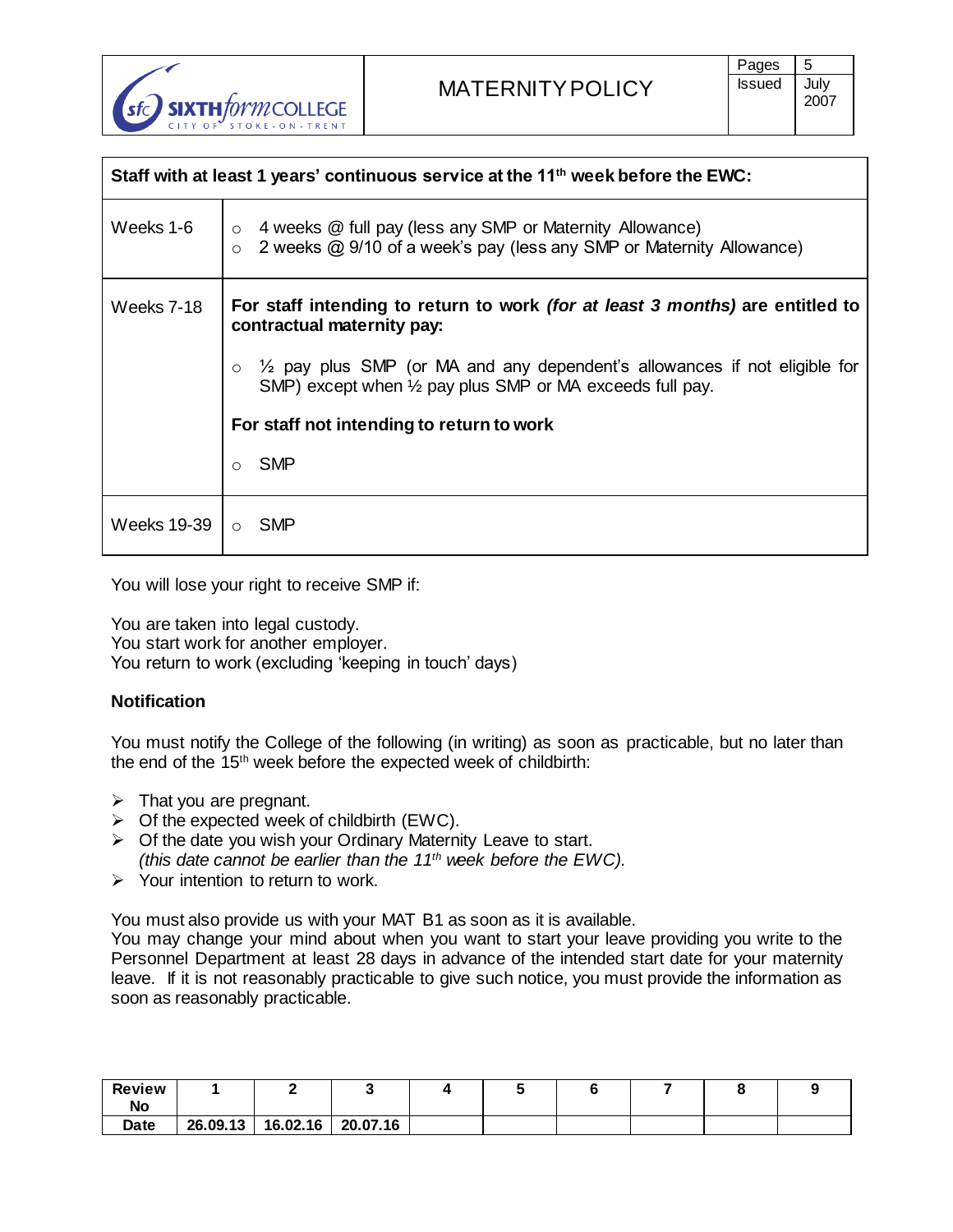

|               | Staff with at least 1 years' continuous service at the 11 <sup>th</sup> week before the EWC:                                                                  |
|---------------|---------------------------------------------------------------------------------------------------------------------------------------------------------------|
| Weeks 1-6     | $\circ$ 4 weeks $\circledR$ full pay (less any SMP or Maternity Allowance)<br>2 weeks @ 9/10 of a week's pay (less any SMP or Maternity Allowance)<br>$\circ$ |
| Weeks 7-18    | For staff intending to return to work <i>(for at least 3 months)</i> are entitled to<br>contractual maternity pay:                                            |
|               | $\frac{1}{2}$ pay plus SMP (or MA and any dependent's allowances if not eligible for<br>SMP) except when 1/2 pay plus SMP or MA exceeds full pay.             |
|               | For staff not intending to return to work                                                                                                                     |
|               | SMP<br>$\bigcirc$                                                                                                                                             |
| Weeks 19-39 I | ○ SMP                                                                                                                                                         |

You will lose your right to receive SMP if:

You are taken into legal custody. You start work for another employer. You return to work (excluding 'keeping in touch' days)

# **Notification**

You must notify the College of the following (in writing) as soon as practicable, but no later than the end of the 15th week before the expected week of childbirth:

- $\triangleright$  That you are pregnant.
- $\triangleright$  Of the expected week of childbirth (EWC).
- $\triangleright$  Of the date you wish your Ordinary Maternity Leave to start. *(this date cannot be earlier than the 11th week before the EWC).*
- $\triangleright$  Your intention to return to work.

You must also provide us with your MAT B1 as soon as it is available.

You may change your mind about when you want to start your leave providing you write to the Personnel Department at least 28 days in advance of the intended start date for your maternity leave. If it is not reasonably practicable to give such notice, you must provide the information as soon as reasonably practicable.

| <b>Review</b><br>No |          |          |          |  |  |  |
|---------------------|----------|----------|----------|--|--|--|
| Date                | 26.09.13 | 16.02.16 | 20.07.16 |  |  |  |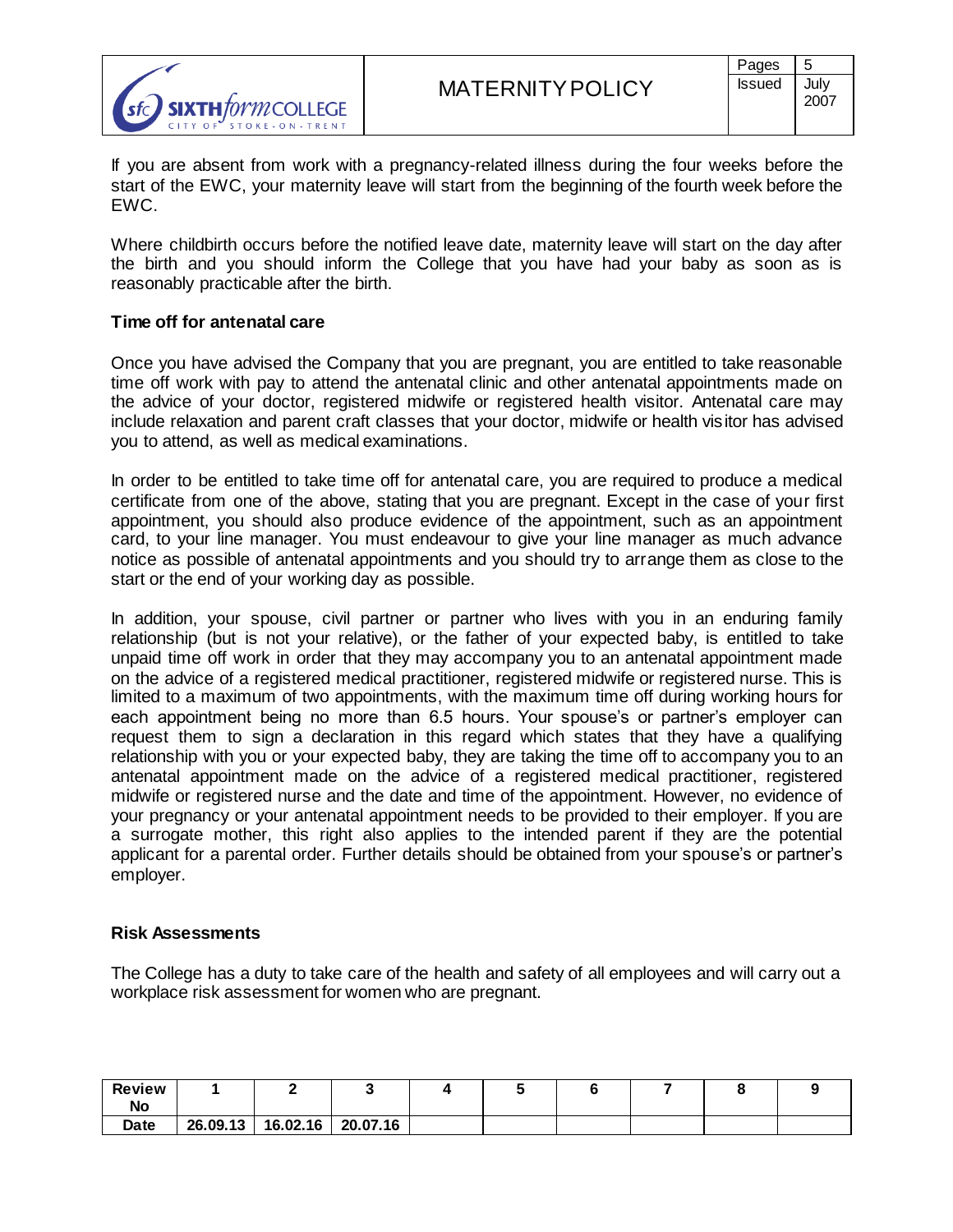

If you are absent from work with a pregnancy-related illness during the four weeks before the start of the EWC, your maternity leave will start from the beginning of the fourth week before the EWC.

Where childbirth occurs before the notified leave date, maternity leave will start on the day after the birth and you should inform the College that you have had your baby as soon as is reasonably practicable after the birth.

## **Time off for antenatal care**

Once you have advised the Company that you are pregnant, you are entitled to take reasonable time off work with pay to attend the antenatal clinic and other antenatal appointments made on the advice of your doctor, registered midwife or registered health visitor. Antenatal care may include relaxation and parent craft classes that your doctor, midwife or health visitor has advised you to attend, as well as medical examinations.

In order to be entitled to take time off for antenatal care, you are required to produce a medical certificate from one of the above, stating that you are pregnant. Except in the case of your first appointment, you should also produce evidence of the appointment, such as an appointment card, to your line manager. You must endeavour to give your line manager as much advance notice as possible of antenatal appointments and you should try to arrange them as close to the start or the end of your working day as possible.

In addition, your spouse, civil partner or partner who lives with you in an enduring family relationship (but is not your relative), or the father of your expected baby, is entitled to take unpaid time off work in order that they may accompany you to an antenatal appointment made on the advice of a registered medical practitioner, registered midwife or registered nurse. This is limited to a maximum of two appointments, with the maximum time off during working hours for each appointment being no more than 6.5 hours. Your spouse's or partner's employer can request them to sign a declaration in this regard which states that they have a qualifying relationship with you or your expected baby, they are taking the time off to accompany you to an antenatal appointment made on the advice of a registered medical practitioner, registered midwife or registered nurse and the date and time of the appointment. However, no evidence of your pregnancy or your antenatal appointment needs to be provided to their employer. If you are a surrogate mother, this right also applies to the intended parent if they are the potential applicant for a parental order. Further details should be obtained from your spouse's or partner's employer.

### **Risk Assessments**

The College has a duty to take care of the health and safety of all employees and will carry out a workplace risk assessment for women who are pregnant.

| <b>Review</b><br>No |          |          |          |  |  |  |
|---------------------|----------|----------|----------|--|--|--|
| Date                | 26.09.13 | 16.02.16 | 20.07.16 |  |  |  |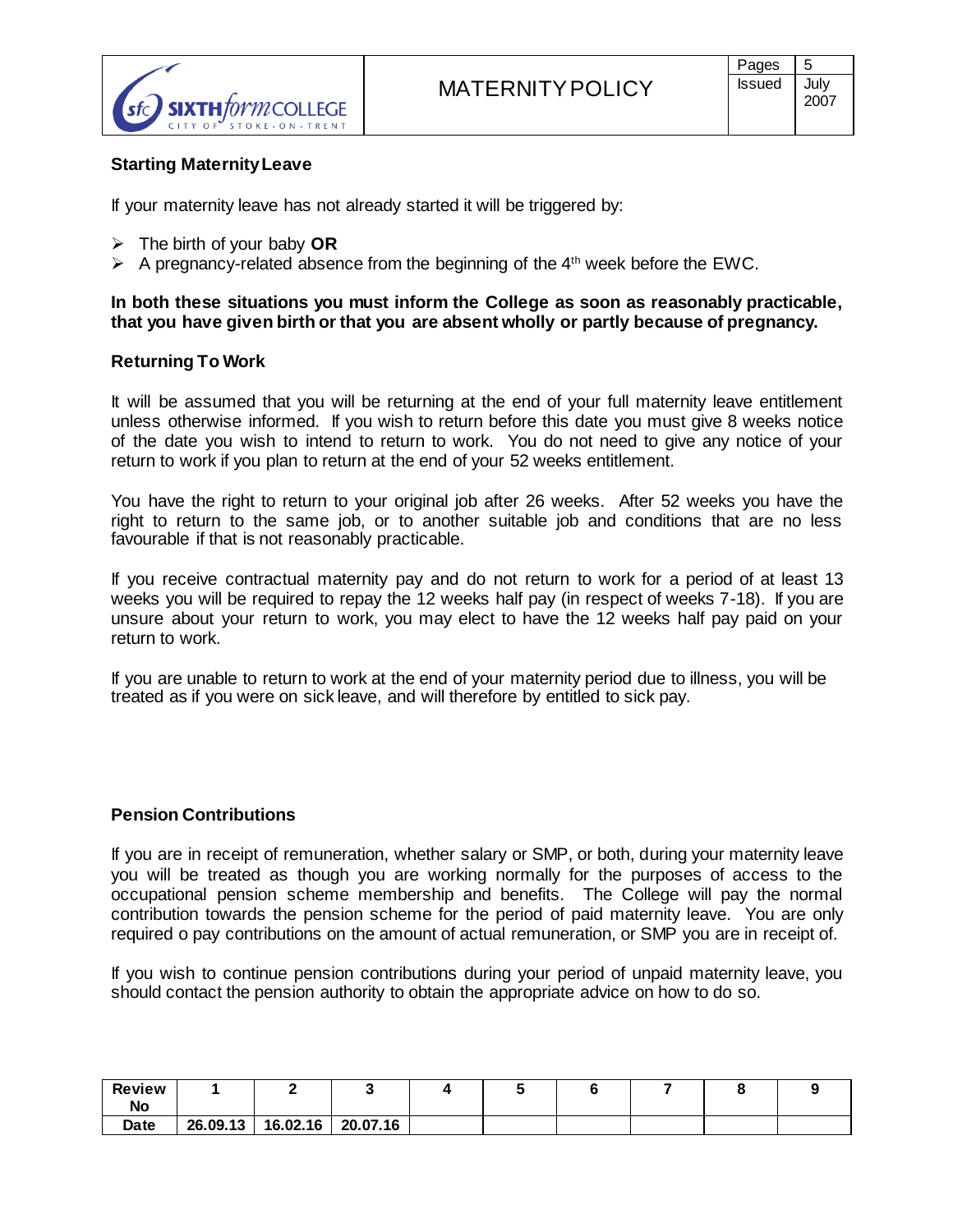

# **Starting Maternity Leave**

If your maternity leave has not already started it will be triggered by:

- The birth of your baby **OR**
- $\triangleright$  A pregnancy-related absence from the beginning of the 4<sup>th</sup> week before the EWC.

## **In both these situations you must inform the College as soon as reasonably practicable, that you have given birth or that you are absent wholly or partly because of pregnancy.**

### **Returning To Work**

It will be assumed that you will be returning at the end of your full maternity leave entitlement unless otherwise informed. If you wish to return before this date you must give 8 weeks notice of the date you wish to intend to return to work. You do not need to give any notice of your return to work if you plan to return at the end of your 52 weeks entitlement.

You have the right to return to your original job after 26 weeks. After 52 weeks you have the right to return to the same job, or to another suitable job and conditions that are no less favourable if that is not reasonably practicable.

If you receive contractual maternity pay and do not return to work for a period of at least 13 weeks you will be required to repay the 12 weeks half pay (in respect of weeks 7-18). If you are unsure about your return to work, you may elect to have the 12 weeks half pay paid on your return to work.

If you are unable to return to work at the end of your maternity period due to illness, you will be treated as if you were on sick leave, and will therefore by entitled to sick pay.

### **Pension Contributions**

If you are in receipt of remuneration, whether salary or SMP, or both, during your maternity leave you will be treated as though you are working normally for the purposes of access to the occupational pension scheme membership and benefits. The College will pay the normal contribution towards the pension scheme for the period of paid maternity leave. You are only required o pay contributions on the amount of actual remuneration, or SMP you are in receipt of.

If you wish to continue pension contributions during your period of unpaid maternity leave, you should contact the pension authority to obtain the appropriate advice on how to do so.

| <b>Review</b><br>No |          |          |          |  |  |  |
|---------------------|----------|----------|----------|--|--|--|
| Date                | 26.09.13 | 16.02.16 | 20.07.16 |  |  |  |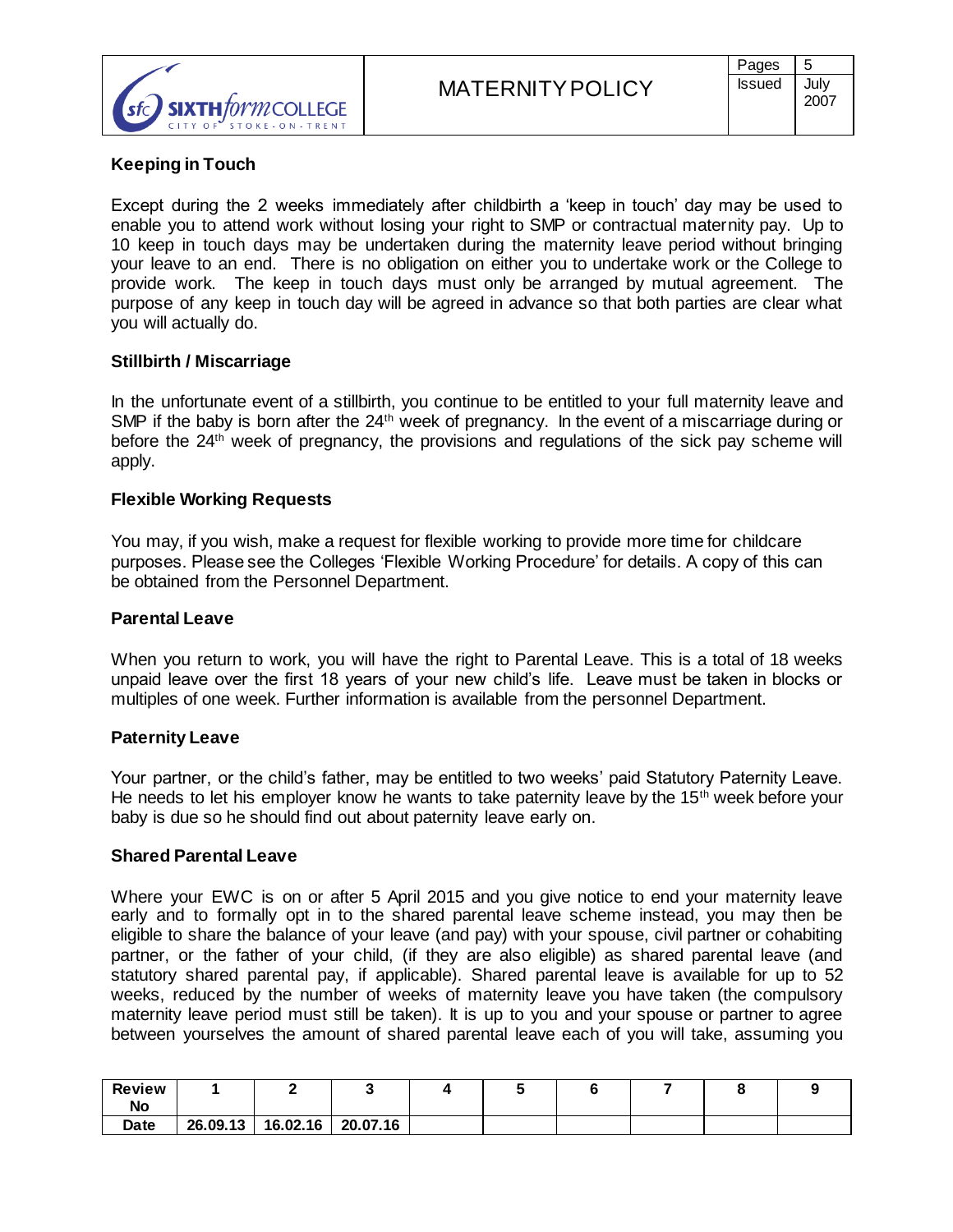

# **Keeping in Touch**

Except during the 2 weeks immediately after childbirth a 'keep in touch' day may be used to enable you to attend work without losing your right to SMP or contractual maternity pay. Up to 10 keep in touch days may be undertaken during the maternity leave period without bringing your leave to an end. There is no obligation on either you to undertake work or the College to provide work. The keep in touch days must only be arranged by mutual agreement. The purpose of any keep in touch day will be agreed in advance so that both parties are clear what you will actually do.

## **Stillbirth / Miscarriage**

In the unfortunate event of a stillbirth, you continue to be entitled to your full maternity leave and SMP if the baby is born after the  $24<sup>th</sup>$  week of pregnancy. In the event of a miscarriage during or before the 24<sup>th</sup> week of pregnancy, the provisions and regulations of the sick pay scheme will apply.

## **Flexible Working Requests**

You may, if you wish, make a request for flexible working to provide more time for childcare purposes. Please see the Colleges 'Flexible Working Procedure' for details. A copy of this can be obtained from the Personnel Department.

### **Parental Leave**

When you return to work, you will have the right to Parental Leave. This is a total of 18 weeks unpaid leave over the first 18 years of your new child's life. Leave must be taken in blocks or multiples of one week. Further information is available from the personnel Department.

### **Paternity Leave**

Your partner, or the child's father, may be entitled to two weeks' paid Statutory Paternity Leave. He needs to let his employer know he wants to take paternity leave by the  $15<sup>th</sup>$  week before your baby is due so he should find out about paternity leave early on.

### **Shared Parental Leave**

Where your EWC is on or after 5 April 2015 and you give notice to end your maternity leave early and to formally opt in to the shared parental leave scheme instead, you may then be eligible to share the balance of your leave (and pay) with your spouse, civil partner or cohabiting partner, or the father of your child, (if they are also eligible) as shared parental leave (and statutory shared parental pay, if applicable). Shared parental leave is available for up to 52 weeks, reduced by the number of weeks of maternity leave you have taken (the compulsory maternity leave period must still be taken). It is up to you and your spouse or partner to agree between yourselves the amount of shared parental leave each of you will take, assuming you

| <b>Review</b><br>No |          |          |          |  |  |  |
|---------------------|----------|----------|----------|--|--|--|
| Date                | 26.09.13 | 16.02.16 | 20.07.16 |  |  |  |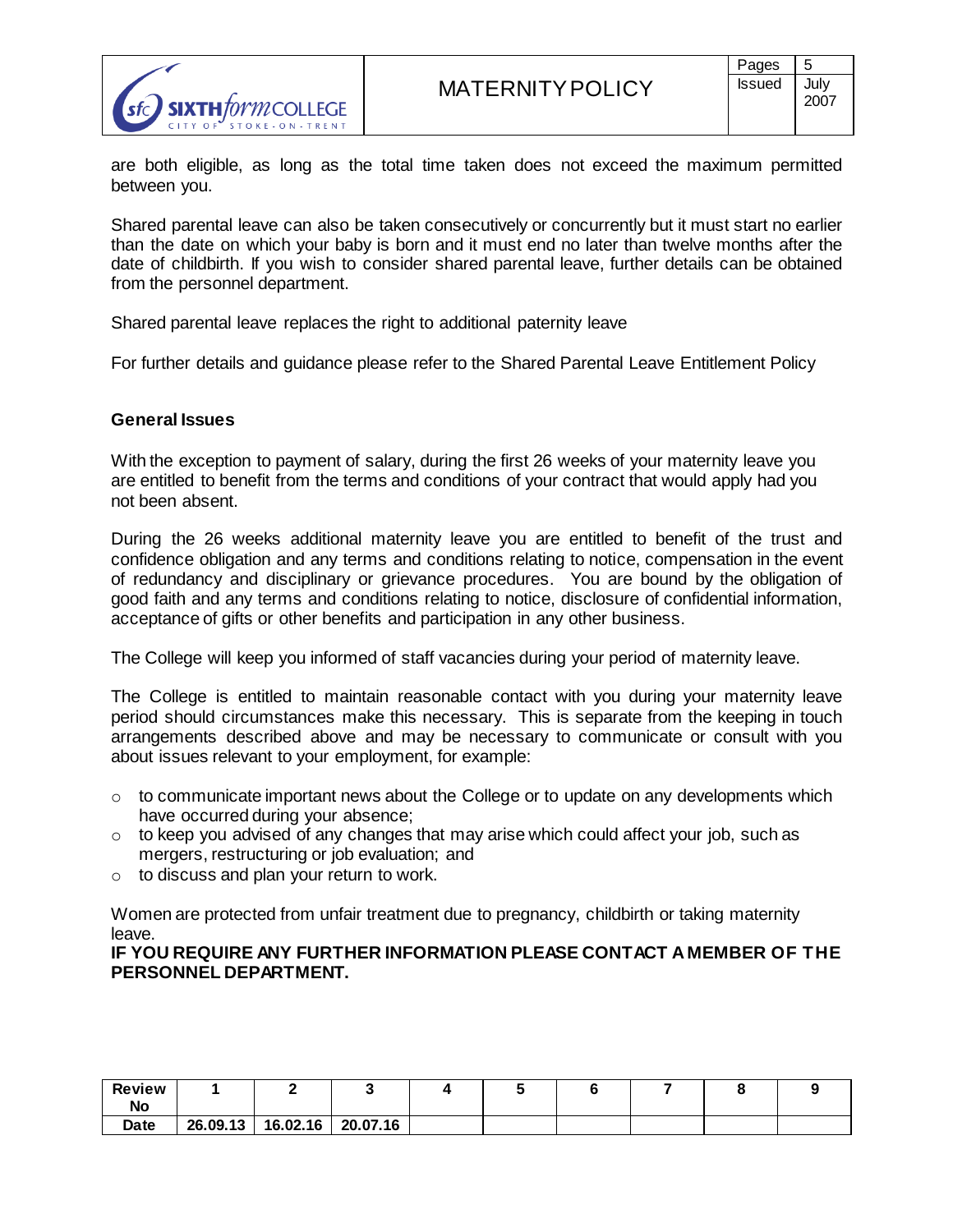

are both eligible, as long as the total time taken does not exceed the maximum permitted between you.

Shared parental leave can also be taken consecutively or concurrently but it must start no earlier than the date on which your baby is born and it must end no later than twelve months after the date of childbirth. If you wish to consider shared parental leave, further details can be obtained from the personnel department.

Shared parental leave replaces the right to additional paternity leave

For further details and guidance please refer to the Shared Parental Leave Entitlement Policy

## **General Issues**

With the exception to payment of salary, during the first 26 weeks of your maternity leave you are entitled to benefit from the terms and conditions of your contract that would apply had you not been absent.

During the 26 weeks additional maternity leave you are entitled to benefit of the trust and confidence obligation and any terms and conditions relating to notice, compensation in the event of redundancy and disciplinary or grievance procedures. You are bound by the obligation of good faith and any terms and conditions relating to notice, disclosure of confidential information, acceptance of gifts or other benefits and participation in any other business.

The College will keep you informed of staff vacancies during your period of maternity leave.

The College is entitled to maintain reasonable contact with you during your maternity leave period should circumstances make this necessary. This is separate from the keeping in touch arrangements described above and may be necessary to communicate or consult with you about issues relevant to your employment, for example:

- $\circ$  to communicate important news about the College or to update on any developments which have occurred during your absence;
- $\circ$  to keep you advised of any changes that may arise which could affect your job, such as mergers, restructuring or job evaluation; and
- $\circ$  to discuss and plan your return to work.

Women are protected from unfair treatment due to pregnancy, childbirth or taking maternity leave.

**IF YOU REQUIRE ANY FURTHER INFORMATION PLEASE CONTACT A MEMBER OF THE PERSONNEL DEPARTMENT.**

| <b>Review</b><br>No |          |          |          |  |  |  |
|---------------------|----------|----------|----------|--|--|--|
| Date                | 26.09.13 | 16.02.16 | 20.07.16 |  |  |  |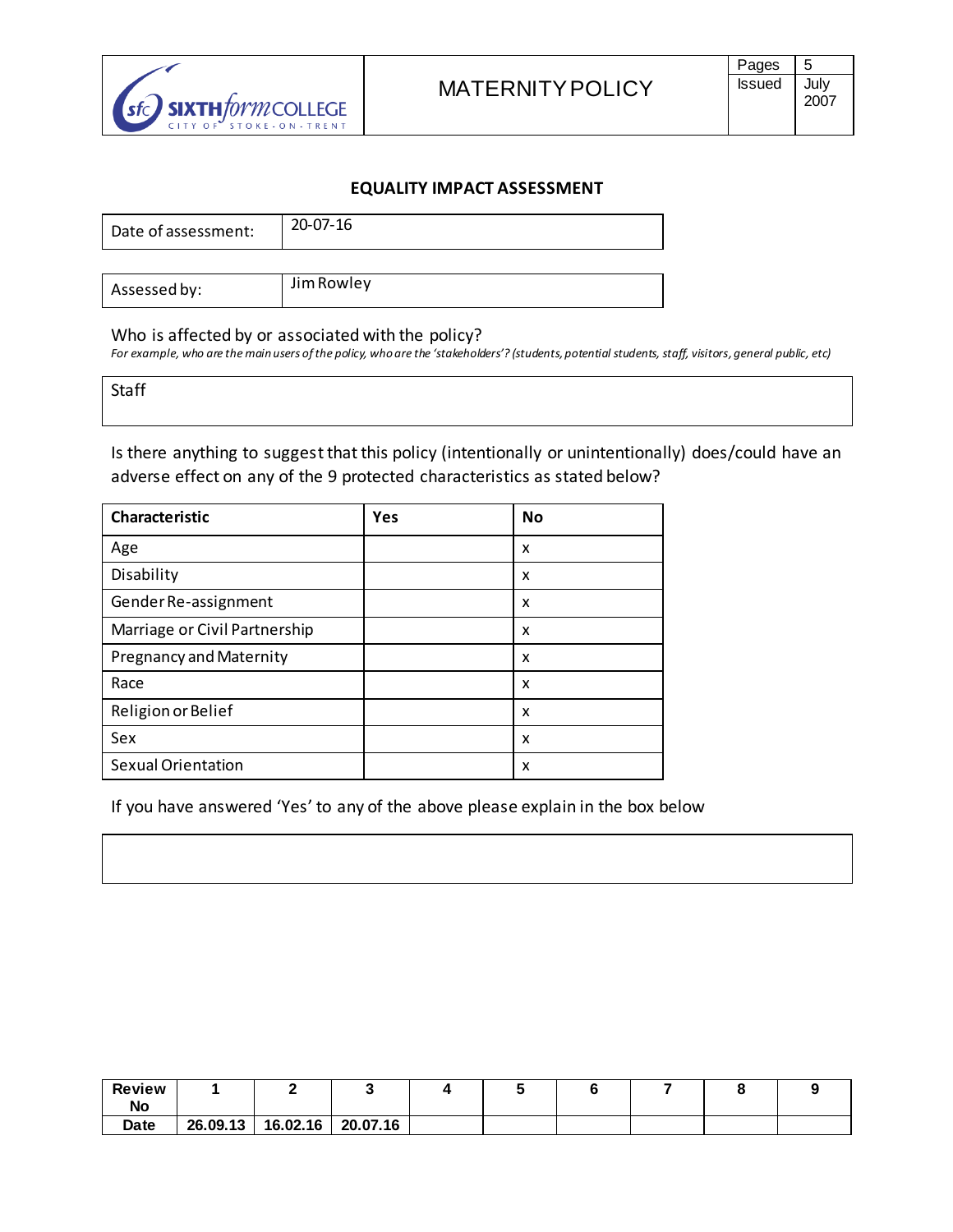

## **EQUALITY IMPACT ASSESSMENT**

| Date of assessment: | 20-07-16 |
|---------------------|----------|
|                     |          |

| Assessed by: | Jim Rowley |
|--------------|------------|

#### Who is affected by or associated with the policy?

*For example, who are the main users of the policy, who are the 'stakeholders'? (students, potential students, staff, visitors, general public, etc)*

**Staff** 

Is there anything to suggest that this policy (intentionally or unintentionally) does/could have an adverse effect on any of the 9 protected characteristics as stated below?

| <b>Characteristic</b>          | Yes | <b>No</b> |
|--------------------------------|-----|-----------|
| Age                            |     | x         |
| Disability                     |     | x         |
| Gender Re-assignment           |     | x         |
| Marriage or Civil Partnership  |     | x         |
| <b>Pregnancy and Maternity</b> |     | x         |
| Race                           |     | X         |
| Religion or Belief             |     | x         |
| Sex                            |     | x         |
| <b>Sexual Orientation</b>      |     | x         |

If you have answered 'Yes' to any of the above please explain in the box below

| <b>Review</b> |          |          |          |  |  |  |
|---------------|----------|----------|----------|--|--|--|
| No            |          |          |          |  |  |  |
| Date          | 26.09.13 | 16.02.16 | 20.07.16 |  |  |  |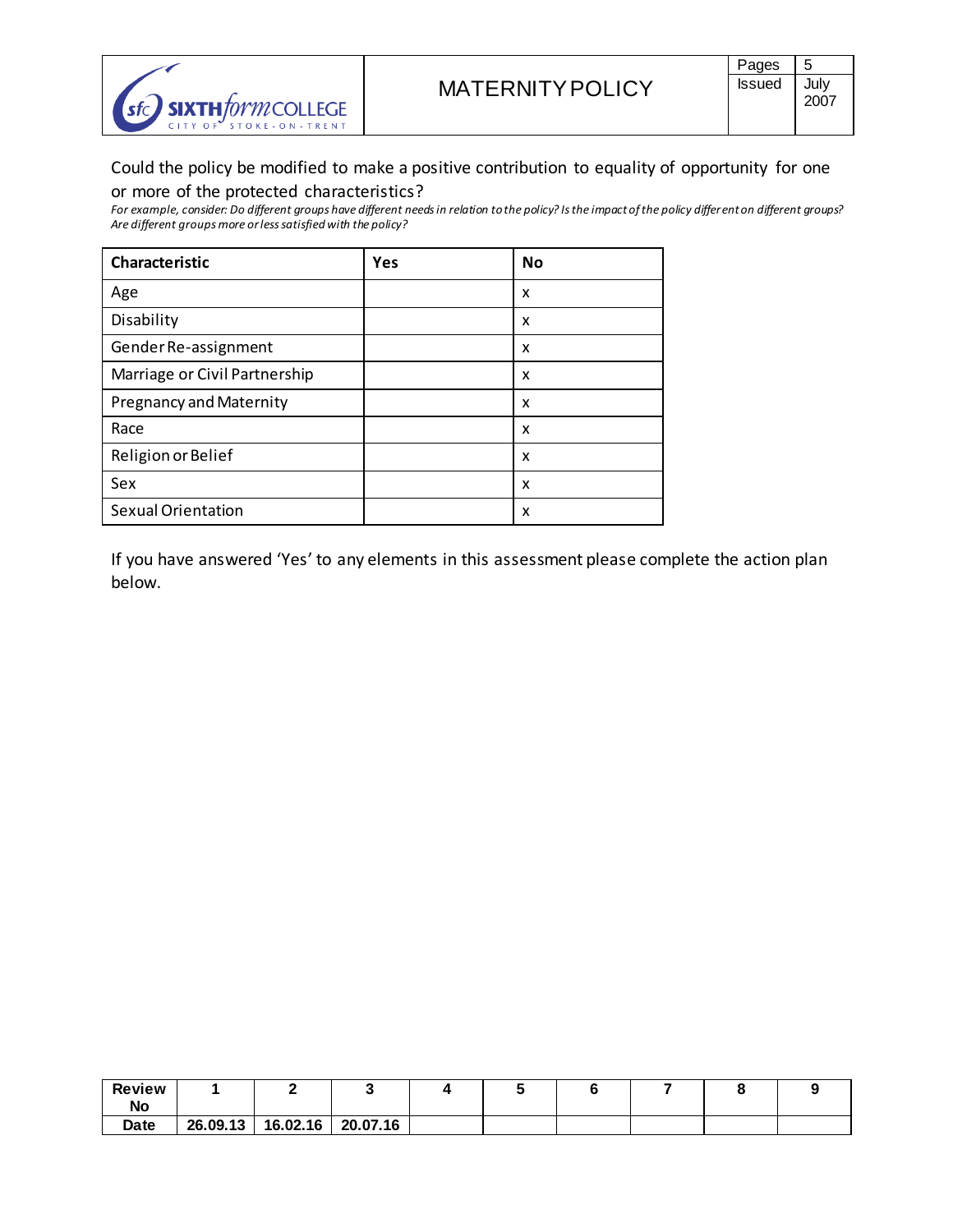

# Could the policy be modified to make a positive contribution to equality of opportunity for one or more of the protected characteristics?

*For example, consider: Do different groups have different needs in relation to the policy? Is the impact of the policy different on different groups? Are different groups more or less satisfied with the policy?*

| Characteristic                 | Yes | <b>No</b> |
|--------------------------------|-----|-----------|
| Age                            |     | x         |
| Disability                     |     | x         |
| Gender Re-assignment           |     | x         |
| Marriage or Civil Partnership  |     | x         |
| <b>Pregnancy and Maternity</b> |     | x         |
| Race                           |     | x         |
| Religion or Belief             |     | x         |
| Sex                            |     | x         |
| <b>Sexual Orientation</b>      |     | x         |

If you have answered 'Yes' to any elements in this assessment please complete the action plan below.

| <b>Review</b> |          |          |          |  |  |  |
|---------------|----------|----------|----------|--|--|--|
| No            |          |          |          |  |  |  |
| Date          | 26.09.13 | 16.02.16 | 20.07.16 |  |  |  |